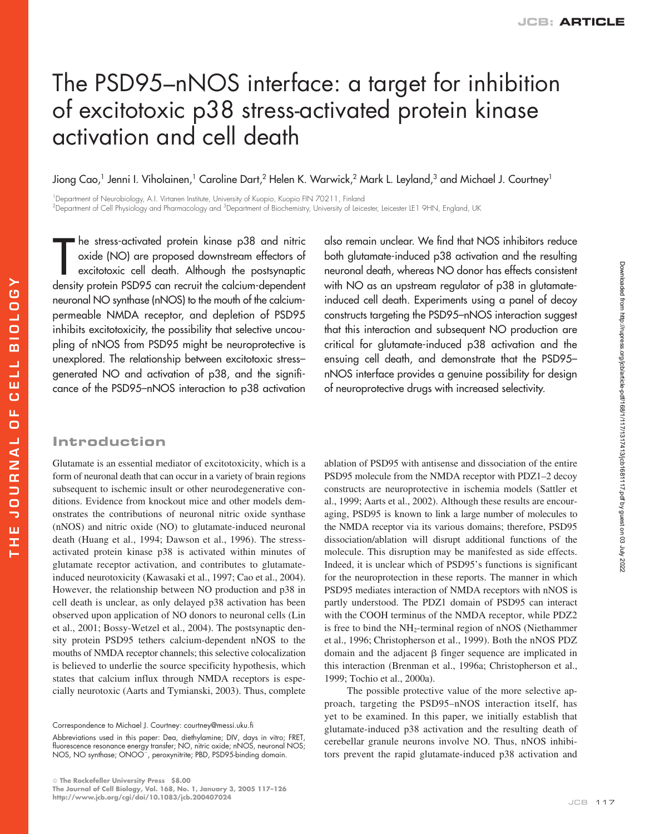# The PSD95–nNOS interface: a target for inhibition of excitotoxic p38 stress-activated protein kinase activation and cell death

Jiong Cao,<sup>1</sup> Jenni I. Viholainen,<sup>1</sup> Caroline Dart,<sup>2</sup> Helen K. Warwick,<sup>2</sup> Mark L. Leyland,<sup>3</sup> and Michael J. Courtney<sup>1</sup>

1 Department of Neurobiology, A.I. Virtanen Institute, University of Kuopio, Kuopio FIN 70211, Finland <sup>2</sup>Department of Cell Physiology and Pharmacology and <sup>3</sup>Department of Biochemistry, University of Leicester, Leicester LE1 9HN, England, UK

he stress-activated protein kinase p38 and nitric oxide (NO) are proposed downstream effectors of excitotoxic cell death. Although the postsynaptic density protein PSD95 can recruit the calcium-dependent neuronal NO synthase (nNOS) to the mouth of the calciumpermeable NMDA receptor, and depletion of PSD95 inhibits excitotoxicity, the possibility that selective uncoupling of nNOS from PSD95 might be neuroprotective is unexplored. The relationship between excitotoxic stress– generated NO and activation of p38, and the significance of the PSD95–nNOS interaction to p38 activation The stress-activated protein kinase p38 and nitric also remain unclear. We find that NOS inhibitors reduce<br>oxide (NO) are proposed downstream effectors of both glutamate-induced p38 activation and the resulting<br>excitotoxic

both glutamate-induced p38 activation and the resulting neuronal death, whereas NO donor has effects consistent with NO as an upstream regulator of p38 in glutamateinduced cell death. Experiments using a panel of decoy constructs targeting the PSD95–nNOS interaction suggest that this interaction and subsequent NO production are critical for glutamate-induced p38 activation and the ensuing cell death, and demonstrate that the PSD95– nNOS interface provides a genuine possibility for design of neuroprotective drugs with increased selectivity.

# **Introduction**

Glutamate is an essential mediator of excitotoxicity, which is a form of neuronal death that can occur in a variety of brain regions subsequent to ischemic insult or other neurodegenerative conditions. Evidence from knockout mice and other models demonstrates the contributions of neuronal nitric oxide synthase (nNOS) and nitric oxide (NO) to glutamate-induced neuronal death (Huang et al., 1994; Dawson et al., 1996). The stressactivated protein kinase p38 is activated within minutes of glutamate receptor activation, and contributes to glutamateinduced neurotoxicity (Kawasaki et al., 1997; Cao et al., 2004). However, the relationship between NO production and p38 in cell death is unclear, as only delayed p38 activation has been observed upon application of NO donors to neuronal cells (Lin et al., 2001; Bossy-Wetzel et al., 2004). The postsynaptic density protein PSD95 tethers calcium-dependent nNOS to the mouths of NMDA receptor channels; this selective colocalization is believed to underlie the source specificity hypothesis, which states that calcium influx through NMDA receptors is especially neurotoxic (Aarts and Tymianski, 2003). Thus, complete ablation of PSD95 with antisense and dissociation of the entire PSD95 molecule from the NMDA receptor with PDZ1–2 decoy constructs are neuroprotective in ischemia models (Sattler et al., 1999; Aarts et al., 2002). Although these results are encouraging, PSD95 is known to link a large number of molecules to the NMDA receptor via its various domains; therefore, PSD95 dissociation/ablation will disrupt additional functions of the molecule. This disruption may be manifested as side effects. Indeed, it is unclear which of PSD95's functions is significant for the neuroprotection in these reports. The manner in which PSD95 mediates interaction of NMDA receptors with nNOS is partly understood. The PDZ1 domain of PSD95 can interact with the COOH terminus of the NMDA receptor, while PDZ2 is free to bind the  $NH<sub>2</sub>$ -terminal region of nNOS (Niethammer et al., 1996; Christopherson et al., 1999). Both the nNOS PDZ domain and the adjacent  $\beta$  finger sequence are implicated in this interaction (Brenman et al., 1996a; Christopherson et al., 1999; Tochio et al., 2000a).

The possible protective value of the more selective approach, targeting the PSD95–nNOS interaction itself, has yet to be examined. In this paper, we initially establish that glutamate-induced p38 activation and the resulting death of cerebellar granule neurons involve NO. Thus, nNOS inhibitors prevent the rapid glutamate-induced p38 activation and

Correspondence to Michael J. Courtney: courtney@messi.uku.fi

Abbreviations used in this paper: Dea, diethylamine; DIV, days in vitro; FRET, fluorescence resonance energy transfer; NO, nitric oxide; nNOS, neuronal NOS; NOS, NO synthase; ONOO-, peroxynitrite; PBD, PSD95-binding domain.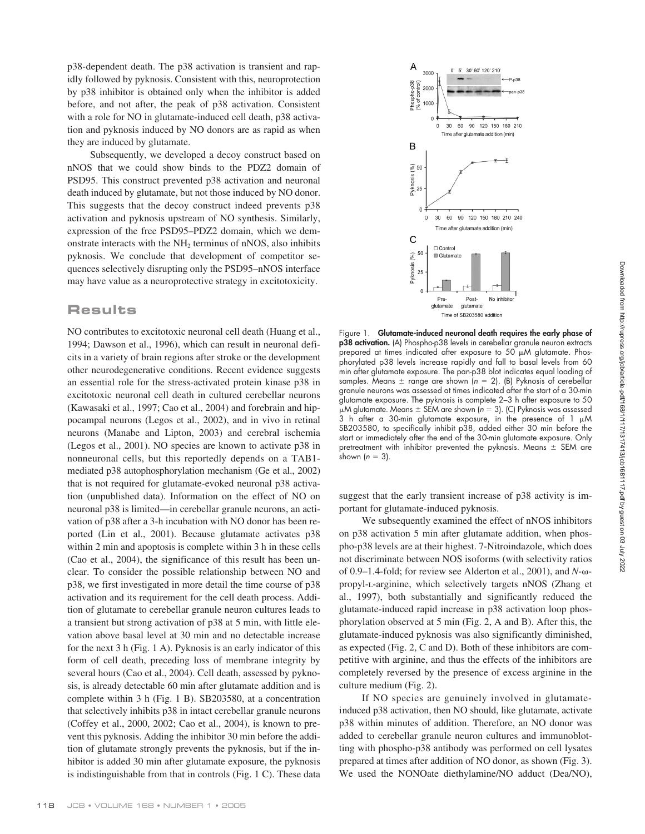p38-dependent death. The p38 activation is transient and rapidly followed by pyknosis. Consistent with this, neuroprotection by p38 inhibitor is obtained only when the inhibitor is added before, and not after, the peak of p38 activation. Consistent with a role for NO in glutamate-induced cell death, p38 activation and pyknosis induced by NO donors are as rapid as when they are induced by glutamate.

Subsequently, we developed a decoy construct based on nNOS that we could show binds to the PDZ2 domain of PSD95. This construct prevented p38 activation and neuronal death induced by glutamate, but not those induced by NO donor. This suggests that the decoy construct indeed prevents p38 activation and pyknosis upstream of NO synthesis. Similarly, expression of the free PSD95–PDZ2 domain, which we demonstrate interacts with the  $NH<sub>2</sub>$  terminus of nNOS, also inhibits pyknosis. We conclude that development of competitor sequences selectively disrupting only the PSD95–nNOS interface may have value as a neuroprotective strategy in excitotoxicity.

## **Results**

NO contributes to excitotoxic neuronal cell death (Huang et al., 1994; Dawson et al., 1996), which can result in neuronal deficits in a variety of brain regions after stroke or the development other neurodegenerative conditions. Recent evidence suggests an essential role for the stress-activated protein kinase p38 in excitotoxic neuronal cell death in cultured cerebellar neurons (Kawasaki et al., 1997; Cao et al., 2004) and forebrain and hippocampal neurons (Legos et al., 2002), and in vivo in retinal neurons (Manabe and Lipton, 2003) and cerebral ischemia (Legos et al., 2001). NO species are known to activate p38 in nonneuronal cells, but this reportedly depends on a TAB1 mediated p38 autophosphorylation mechanism (Ge et al., 2002) that is not required for glutamate-evoked neuronal p38 activation (unpublished data). Information on the effect of NO on neuronal p38 is limited—in cerebellar granule neurons, an activation of p38 after a 3-h incubation with NO donor has been reported (Lin et al., 2001). Because glutamate activates p38 within 2 min and apoptosis is complete within 3 h in these cells (Cao et al., 2004), the significance of this result has been unclear. To consider the possible relationship between NO and p38, we first investigated in more detail the time course of p38 activation and its requirement for the cell death process. Addition of glutamate to cerebellar granule neuron cultures leads to a transient but strong activation of p38 at 5 min, with little elevation above basal level at 30 min and no detectable increase for the next 3 h (Fig. 1 A). Pyknosis is an early indicator of this form of cell death, preceding loss of membrane integrity by several hours (Cao et al., 2004). Cell death, assessed by pyknosis, is already detectable 60 min after glutamate addition and is complete within 3 h (Fig. 1 B). SB203580, at a concentration that selectively inhibits p38 in intact cerebellar granule neurons (Coffey et al., 2000, 2002; Cao et al., 2004), is known to prevent this pyknosis. Adding the inhibitor 30 min before the addition of glutamate strongly prevents the pyknosis, but if the inhibitor is added 30 min after glutamate exposure, the pyknosis is indistinguishable from that in controls (Fig. 1 C). These data



Figure 1. **Glutamate-induced neuronal death requires the early phase of p38 activation.** (A) Phospho-p38 levels in cerebellar granule neuron extracts prepared at times indicated after exposure to  $50\mu$ M glutamate. Phosphorylated p38 levels increase rapidly and fall to basal levels from 60 min after glutamate exposure. The pan-p38 blot indicates equal loading of samples. Means  $\pm$  range are shown ( $n = 2$ ). (B) Pyknosis of cerebellar granule neurons was assessed at times indicated after the start of a 30-min glutamate exposure. The pyknosis is complete 2–3 h after exposure to 50  $\mu$ M glutamate. Means  $\pm$  SEM are shown ( $n = 3$ ). (C) Pyknosis was assessed 3 h after a 30-min glutamate exposure, in the presence of  $1 \mu M$ SB203580, to specifically inhibit p38, added either 30 min before the start or immediately after the end of the 30-min glutamate exposure. Only pretreatment with inhibitor prevented the pyknosis. Means  $\pm$  SEM are shown  $(n = 3)$ .

suggest that the early transient increase of p38 activity is important for glutamate-induced pyknosis.

We subsequently examined the effect of nNOS inhibitors on p38 activation 5 min after glutamate addition, when phospho-p38 levels are at their highest. 7-Nitroindazole, which does not discriminate between NOS isoforms (with selectivity ratios of 0.9–1.4-fold; for review see Alderton et al., 2001), and  $N$ - $\omega$ propyl-L-arginine, which selectively targets nNOS (Zhang et al., 1997), both substantially and significantly reduced the glutamate-induced rapid increase in p38 activation loop phosphorylation observed at 5 min (Fig. 2, A and B). After this, the glutamate-induced pyknosis was also significantly diminished, as expected (Fig. 2, C and D). Both of these inhibitors are competitive with arginine, and thus the effects of the inhibitors are completely reversed by the presence of excess arginine in the culture medium (Fig. 2).

If NO species are genuinely involved in glutamateinduced p38 activation, then NO should, like glutamate, activate p38 within minutes of addition. Therefore, an NO donor was added to cerebellar granule neuron cultures and immunoblotting with phospho-p38 antibody was performed on cell lysates prepared at times after addition of NO donor, as shown (Fig. 3). We used the NONOate diethylamine/NO adduct (Dea/NO),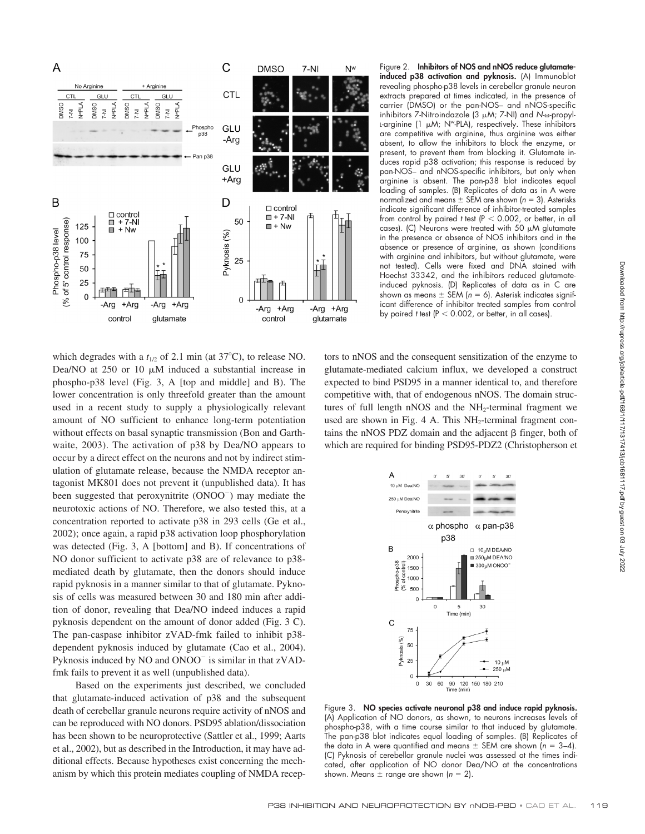

which degrades with a  $t_{1/2}$  of 2.1 min (at 37°C), to release NO. Dea/NO at  $250$  or  $10 \mu M$  induced a substantial increase in phospho-p38 level (Fig. 3, A [top and middle] and B). The lower concentration is only threefold greater than the amount used in a recent study to supply a physiologically relevant amount of NO sufficient to enhance long-term potentiation without effects on basal synaptic transmission (Bon and Garthwaite, 2003). The activation of p38 by Dea/NO appears to occur by a direct effect on the neurons and not by indirect stimulation of glutamate release, because the NMDA receptor antagonist MK801 does not prevent it (unpublished data). It has been suggested that peroxynitrite (ONOO<sup>-</sup>) may mediate the neurotoxic actions of NO. Therefore, we also tested this, at a concentration reported to activate p38 in 293 cells (Ge et al., 2002); once again, a rapid p38 activation loop phosphorylation was detected (Fig. 3, A [bottom] and B). If concentrations of NO donor sufficient to activate p38 are of relevance to p38 mediated death by glutamate, then the donors should induce rapid pyknosis in a manner similar to that of glutamate. Pyknosis of cells was measured between 30 and 180 min after addition of donor, revealing that Dea/NO indeed induces a rapid pyknosis dependent on the amount of donor added (Fig. 3 C). The pan-caspase inhibitor zVAD-fmk failed to inhibit p38 dependent pyknosis induced by glutamate (Cao et al., 2004). Pyknosis induced by NO and ONOO<sup>-</sup> is similar in that zVADfmk fails to prevent it as well (unpublished data).

Based on the experiments just described, we concluded that glutamate-induced activation of p38 and the subsequent death of cerebellar granule neurons require activity of nNOS and can be reproduced with NO donors. PSD95 ablation/dissociation has been shown to be neuroprotective (Sattler et al., 1999; Aarts et al., 2002), but as described in the Introduction, it may have additional effects. Because hypotheses exist concerning the mechanism by which this protein mediates coupling of NMDA recepFigure 2. **Inhibitors of NOS and nNOS reduce glutamateinduced p38 activation and pyknosis.** (A) Immunoblot revealing phospho-p38 levels in cerebellar granule neuron extracts prepared at times indicated, in the presence of carrier (DMSO) or the pan-NOS– and nNOS-specific inhibitors 7-Nitroindazole (3  $\mu$ M; 7-NI) and *N*-w-propyl-L-arginine (1  $\mu$ M; N<sup>w</sup>-PLA), respectively. These inhibitors are competitive with arginine, thus arginine was either absent, to allow the inhibitors to block the enzyme, or present, to prevent them from blocking it. Glutamate induces rapid p38 activation; this response is reduced by pan-NOS– and nNOS-specific inhibitors, but only when arginine is absent. The pan-p38 blot indicates equal loading of samples. (B) Replicates of data as in A were normalized and means  $\pm$  SEM are shown ( $n = 3$ ). Asterisks indicate significant difference of inhibitor-treated samples from control by paired  $t$  test ( $P < 0.002$ , or better, in all cases). (C) Neurons were treated with 50  $\mu$ M glutamate in the presence or absence of NOS inhibitors and in the absence or presence of arginine, as shown (conditions with arginine and inhibitors, but without glutamate, were not tested). Cells were fixed and DNA stained with Hoechst 33342, and the inhibitors reduced glutamateinduced pyknosis. (D) Replicates of data as in C are shown as means  $\pm$  SEM ( $n = 6$ ). Asterisk indicates significant difference of inhibitor treated samples from control by paired  $t$  test ( $P < 0.002$ , or better, in all cases).

tors to nNOS and the consequent sensitization of the enzyme to glutamate-mediated calcium influx, we developed a construct expected to bind PSD95 in a manner identical to, and therefore competitive with, that of endogenous nNOS. The domain structures of full length nNOS and the  $NH<sub>2</sub>$ -terminal fragment we used are shown in Fig. 4 A. This  $NH<sub>2</sub>$ -terminal fragment contains the nNOS PDZ domain and the adjacent  $\beta$  finger, both of which are required for binding PSD95-PDZ2 (Christopherson et



Figure 3. **NO species activate neuronal p38 and induce rapid pyknosis.** (A) Application of NO donors, as shown, to neurons increases levels of phospho-p38, with a time course similar to that induced by glutamate. The pan-p38 blot indicates equal loading of samples. (B) Replicates of the data in A were quantified and means  $\pm$  SEM are shown ( $n = 3-4$ ). (C) Pyknosis of cerebellar granule nuclei was assessed at the times indicated, after application of NO donor Dea/NO at the concentrations shown. Means  $\pm$  range are shown ( $n = 2$ ).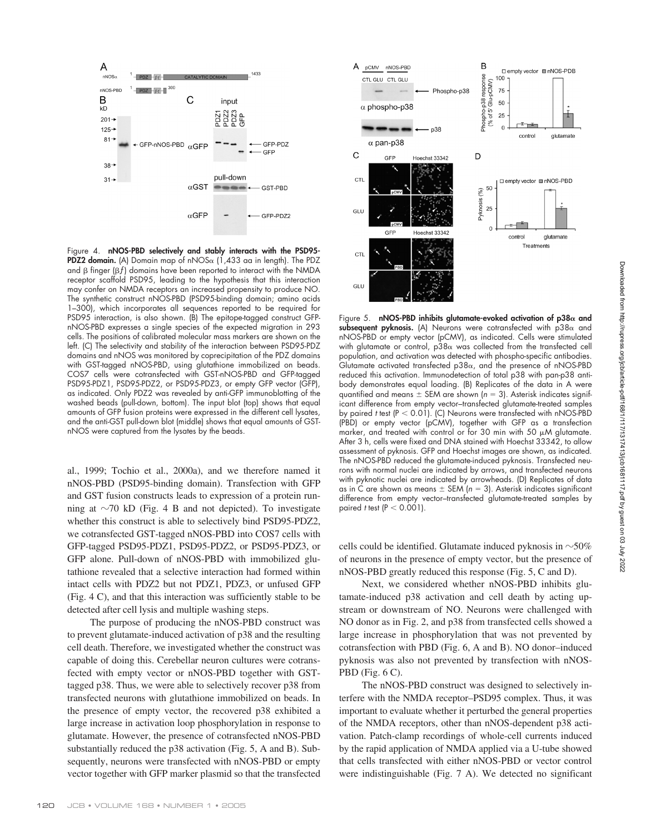

Figure 4. **nNOS-PBD selectively and stably interacts with the PSD95- PDZ2 domain.** (A) Domain map of nNOS $\alpha$  (1,433 aa in length). The PDZ and  $\beta$  finger ( $\beta f$ ) domains have been reported to interact with the NMDA receptor scaffold PSD95, leading to the hypothesis that this interaction may confer on NMDA receptors an increased propensity to produce NO. The synthetic construct nNOS-PBD (PSD95-binding domain; amino acids 1–300), which incorporates all sequences reported to be required for PSD95 interaction, is also shown. (B) The epitope-tagged construct GFPnNOS-PBD expresses a single species of the expected migration in 293 cells. The positions of calibrated molecular mass markers are shown on the left. (C) The selectivity and stability of the interaction between PSD95-PDZ domains and nNOS was monitored by coprecipitation of the PDZ domains with GST-tagged nNOS-PBD, using glutathione immobilized on beads. COS7 cells were cotransfected with GST-nNOS-PBD and GFP-tagged PSD95-PDZ1, PSD95-PDZ2, or PSD95-PDZ3, or empty GFP vector (GFP), as indicated. Only PDZ2 was revealed by anti-GFP immunoblotting of the washed beads (pull-down, bottom). The input blot (top) shows that equal amounts of GFP fusion proteins were expressed in the different cell lysates, and the anti-GST pull-down blot (middle) shows that equal amounts of GSTnNOS were captured from the lysates by the beads.

al., 1999; Tochio et al., 2000a), and we therefore named it nNOS-PBD (PSD95-binding domain). Transfection with GFP and GST fusion constructs leads to expression of a protein running at  $\sim$ 70 kD (Fig. 4 B and not depicted). To investigate whether this construct is able to selectively bind PSD95-PDZ2, we cotransfected GST-tagged nNOS-PBD into COS7 cells with GFP-tagged PSD95-PDZ1, PSD95-PDZ2, or PSD95-PDZ3, or GFP alone. Pull-down of nNOS-PBD with immobilized glutathione revealed that a selective interaction had formed within intact cells with PDZ2 but not PDZ1, PDZ3, or unfused GFP (Fig. 4 C), and that this interaction was sufficiently stable to be detected after cell lysis and multiple washing steps.

The purpose of producing the nNOS-PBD construct was to prevent glutamate-induced activation of p38 and the resulting cell death. Therefore, we investigated whether the construct was capable of doing this. Cerebellar neuron cultures were cotransfected with empty vector or nNOS-PBD together with GSTtagged p38. Thus, we were able to selectively recover p38 from transfected neurons with glutathione immobilized on beads. In the presence of empty vector, the recovered p38 exhibited a large increase in activation loop phosphorylation in response to glutamate. However, the presence of cotransfected nNOS-PBD substantially reduced the p38 activation (Fig. 5, A and B). Subsequently, neurons were transfected with nNOS-PBD or empty vector together with GFP marker plasmid so that the transfected



Figure 5. **nNOS-PBD inhibits glutamate-evoked activation of p38 and** subsequent pyknosis. (A) Neurons were cotransfected with  $p38\alpha$  and nNOS-PBD or empty vector (pCMV), as indicated. Cells were stimulated with glutamate or control,  $p38\alpha$  was collected from the transfected cell population, and activation was detected with phospho-specific antibodies. Glutamate activated transfected  $p38\alpha$ , and the presence of nNOS-PBD reduced this activation. Immunodetection of total p38 with pan-p38 antibody demonstrates equal loading. (B) Replicates of the data in A were quantified and means  $\pm$  SEM are shown ( $n = 3$ ). Asterisk indicates significant difference from empty vector–transfected glutamate-treated samples by paired *t* test (P 0.01). (C) Neurons were transfected with nNOS-PBD (PBD) or empty vector (pCMV), together with GFP as a transfection marker, and treated with control or for 30 min with 50  $\mu$ M glutamate. After 3 h, cells were fixed and DNA stained with Hoechst 33342, to allow assessment of pyknosis. GFP and Hoechst images are shown, as indicated. The nNOS-PBD reduced the glutamate-induced pyknosis. Transfected neurons with normal nuclei are indicated by arrows, and transfected neurons with pyknotic nuclei are indicated by arrowheads. (D) Replicates of data as in C are shown as means  $\pm$  SEM ( $n = 3$ ). Asterisk indicates significant difference from empty vector–transfected glutamate-treated samples by paired *t* test  $(P < 0.001)$ .

cells could be identified. Glutamate induced pyknosis in  $\sim$ 50% of neurons in the presence of empty vector, but the presence of nNOS-PBD greatly reduced this response (Fig. 5, C and D).

Next, we considered whether nNOS-PBD inhibits glutamate-induced p38 activation and cell death by acting upstream or downstream of NO. Neurons were challenged with NO donor as in Fig. 2, and p38 from transfected cells showed a large increase in phosphorylation that was not prevented by cotransfection with PBD (Fig. 6, A and B). NO donor–induced pyknosis was also not prevented by transfection with nNOS-PBD (Fig. 6 C).

The nNOS-PBD construct was designed to selectively interfere with the NMDA receptor–PSD95 complex. Thus, it was important to evaluate whether it perturbed the general properties of the NMDA receptors, other than nNOS-dependent p38 activation. Patch-clamp recordings of whole-cell currents induced by the rapid application of NMDA applied via a U-tube showed that cells transfected with either nNOS-PBD or vector control were indistinguishable (Fig. 7 A). We detected no significant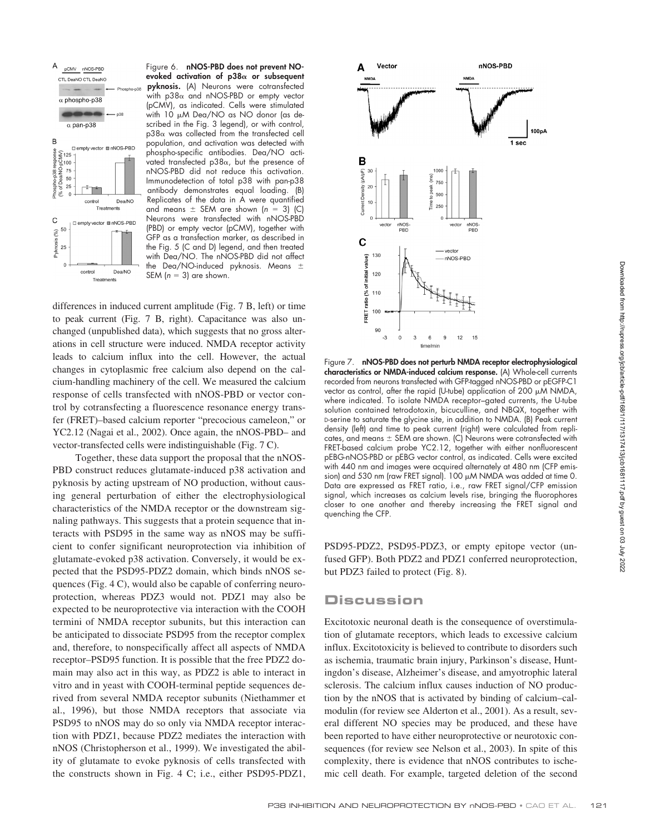

Figure 6. **nNOS-PBD does not prevent NOevoked activation of p38 or subsequent pyknosis.** (A) Neurons were cotransfected with  $p38\alpha$  and nNOS-PBD or empty vector (pCMV), as indicated. Cells were stimulated with 10 µM Dea/NO as NO donor (as described in the Fig. 3 legend), or with control,  $p38\alpha$  was collected from the transfected cell population, and activation was detected with phospho-specific antibodies. Dea/NO activated transfected  $p38\alpha$ , but the presence of nNOS-PBD did not reduce this activation. Immunodetection of total p38 with pan-p38 antibody demonstrates equal loading. (B) Replicates of the data in A were quantified and means  $\pm$  SEM are shown ( $n = 3$ ) (C) Neurons were transfected with nNOS-PBD (PBD) or empty vector (pCMV), together with GFP as a transfection marker, as described in the Fig. 5 (C and D) legend, and then treated with Dea/NO. The nNOS-PBD did not affect the Dea/NO-induced pyknosis. Means SEM  $(n = 3)$  are shown.

differences in induced current amplitude (Fig. 7 B, left) or time to peak current (Fig. 7 B, right). Capacitance was also unchanged (unpublished data), which suggests that no gross alterations in cell structure were induced. NMDA receptor activity leads to calcium influx into the cell. However, the actual changes in cytoplasmic free calcium also depend on the calcium-handling machinery of the cell. We measured the calcium response of cells transfected with nNOS-PBD or vector control by cotransfecting a fluorescence resonance energy transfer (FRET)–based calcium reporter "precocious cameleon," or YC2.12 (Nagai et al., 2002). Once again, the nNOS-PBD– and vector-transfected cells were indistinguishable (Fig. 7 C).

Together, these data support the proposal that the nNOS-PBD construct reduces glutamate-induced p38 activation and pyknosis by acting upstream of NO production, without causing general perturbation of either the electrophysiological characteristics of the NMDA receptor or the downstream signaling pathways. This suggests that a protein sequence that interacts with PSD95 in the same way as nNOS may be sufficient to confer significant neuroprotection via inhibition of glutamate-evoked p38 activation. Conversely, it would be expected that the PSD95-PDZ2 domain, which binds nNOS sequences (Fig. 4 C), would also be capable of conferring neuroprotection, whereas PDZ3 would not. PDZ1 may also be expected to be neuroprotective via interaction with the COOH termini of NMDA receptor subunits, but this interaction can be anticipated to dissociate PSD95 from the receptor complex and, therefore, to nonspecifically affect all aspects of NMDA receptor–PSD95 function. It is possible that the free PDZ2 domain may also act in this way, as PDZ2 is able to interact in vitro and in yeast with COOH-terminal peptide sequences derived from several NMDA receptor subunits (Niethammer et al., 1996), but those NMDA receptors that associate via PSD95 to nNOS may do so only via NMDA receptor interaction with PDZ1, because PDZ2 mediates the interaction with nNOS (Christopherson et al., 1999). We investigated the ability of glutamate to evoke pyknosis of cells transfected with the constructs shown in Fig. 4 C; i.e., either PSD95-PDZ1,



Figure 7. **nNOS-PBD does not perturb NMDA receptor electrophysiological characteristics or NMDA-induced calcium response.** (A) Whole-cell currents recorded from neurons transfected with GFP-tagged nNOS-PBD or pEGFP-C1 vector as control, after the rapid (U-tube) application of 200  $\mu$ M NMDA, where indicated. To isolate NMDA receptor–gated currents, the U-tube solution contained tetrodotoxin, bicuculline, and NBQX, together with D-serine to saturate the glycine site, in addition to NMDA. (B) Peak current density (left) and time to peak current (right) were calculated from replicates, and means  $\pm$  SEM are shown. (C) Neurons were cotransfected with FRET-based calcium probe YC2.12, together with either nonfluorescent pEBG-nNOS-PBD or pEBG vector control, as indicated. Cells were excited with 440 nm and images were acquired alternately at 480 nm (CFP emission) and 530 nm (raw FRET signal). 100 µM NMDA was added at time 0. Data are expressed as FRET ratio, i.e., raw FRET signal/CFP emission signal, which increases as calcium levels rise, bringing the fluorophores closer to one another and thereby increasing the FRET signal and quenching the CFP.

PSD95-PDZ2, PSD95-PDZ3, or empty epitope vector (unfused GFP). Both PDZ2 and PDZ1 conferred neuroprotection, but PDZ3 failed to protect (Fig. 8).

# **Discussion**

Excitotoxic neuronal death is the consequence of overstimulation of glutamate receptors, which leads to excessive calcium influx. Excitotoxicity is believed to contribute to disorders such as ischemia, traumatic brain injury, Parkinson's disease, Huntingdon's disease, Alzheimer's disease, and amyotrophic lateral sclerosis. The calcium influx causes induction of NO production by the nNOS that is activated by binding of calcium–calmodulin (for review see Alderton et al., 2001). As a result, several different NO species may be produced, and these have been reported to have either neuroprotective or neurotoxic consequences (for review see Nelson et al., 2003). In spite of this complexity, there is evidence that nNOS contributes to ischemic cell death. For example, targeted deletion of the second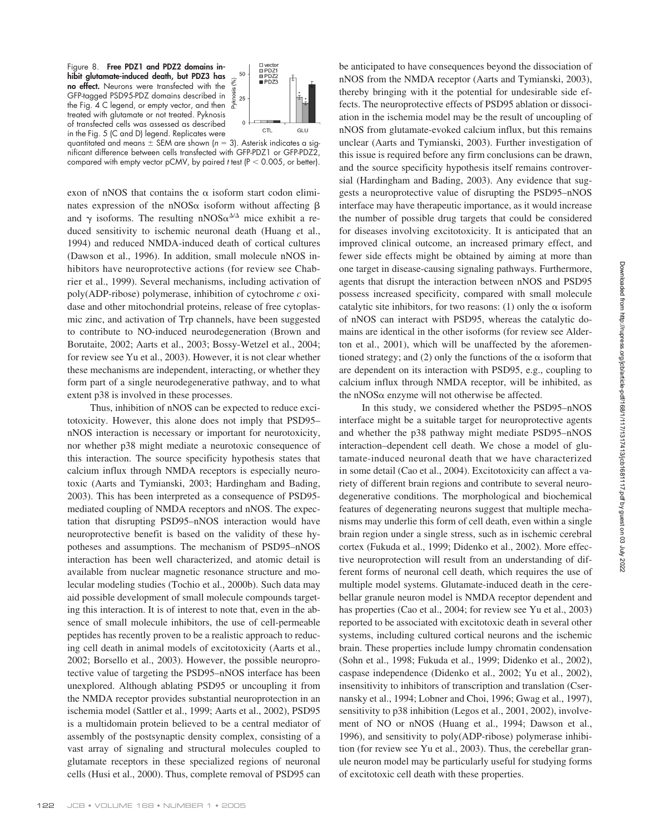Downloaded from http://rupress.org/jcb/article-pdf/168/117171317413/jcb1681117.pdf by guest on 03 July 2022 Downloaded from http://rupress.org/jcb/article-pdf/168/1/117/1317413/jcb1681117.pdf by guest on 03 July 2022

Figure 8. **Free PDZ1 and PDZ2 domains inhibit glutamate-induced death, but PDZ3 has no effect.** Neurons were transfected with the GFP-tagged PSD95-PDZ domains described in the Fig. 4 C legend, or empty vector, and then treated with glutamate or not treated. Pyknosis of transfected cells was assessed as described in the Fig. 5 (C and D) legend. Replicates were



quantitated and means  $\pm$  SEM are shown ( $n = 3$ ). Asterisk indicates a significant difference between cells transfected with GFP-PDZ1 or GFP-PDZ2, compared with empty vector pCMV, by paired *t* test ( $P < 0.005$ , or better).

exon of nNOS that contains the  $\alpha$  isoform start codon eliminates expression of the nNOS $\alpha$  isoform without affecting  $\beta$ and  $\gamma$  isoforms. The resulting nNOS $\alpha^{\Delta/\Delta}$  mice exhibit a reduced sensitivity to ischemic neuronal death (Huang et al., 1994) and reduced NMDA-induced death of cortical cultures (Dawson et al., 1996). In addition, small molecule nNOS inhibitors have neuroprotective actions (for review see Chabrier et al., 1999). Several mechanisms, including activation of poly(ADP-ribose) polymerase, inhibition of cytochrome *c* oxidase and other mitochondrial proteins, release of free cytoplasmic zinc, and activation of Trp channels, have been suggested to contribute to NO-induced neurodegeneration (Brown and Borutaite, 2002; Aarts et al., 2003; Bossy-Wetzel et al., 2004; for review see Yu et al., 2003). However, it is not clear whether these mechanisms are independent, interacting, or whether they form part of a single neurodegenerative pathway, and to what extent p38 is involved in these processes.

Thus, inhibition of nNOS can be expected to reduce excitotoxicity. However, this alone does not imply that PSD95– nNOS interaction is necessary or important for neurotoxicity, nor whether p38 might mediate a neurotoxic consequence of this interaction. The source specificity hypothesis states that calcium influx through NMDA receptors is especially neurotoxic (Aarts and Tymianski, 2003; Hardingham and Bading, 2003). This has been interpreted as a consequence of PSD95 mediated coupling of NMDA receptors and nNOS. The expectation that disrupting PSD95–nNOS interaction would have neuroprotective benefit is based on the validity of these hypotheses and assumptions. The mechanism of PSD95–nNOS interaction has been well characterized, and atomic detail is available from nuclear magnetic resonance structure and molecular modeling studies (Tochio et al., 2000b). Such data may aid possible development of small molecule compounds targeting this interaction. It is of interest to note that, even in the absence of small molecule inhibitors, the use of cell-permeable peptides has recently proven to be a realistic approach to reducing cell death in animal models of excitotoxicity (Aarts et al., 2002; Borsello et al., 2003). However, the possible neuroprotective value of targeting the PSD95–nNOS interface has been unexplored. Although ablating PSD95 or uncoupling it from the NMDA receptor provides substantial neuroprotection in an ischemia model (Sattler et al., 1999; Aarts et al., 2002), PSD95 is a multidomain protein believed to be a central mediator of assembly of the postsynaptic density complex, consisting of a vast array of signaling and structural molecules coupled to glutamate receptors in these specialized regions of neuronal cells (Husi et al., 2000). Thus, complete removal of PSD95 can

nNOS from the NMDA receptor (Aarts and Tymianski, 2003), thereby bringing with it the potential for undesirable side effects. The neuroprotective effects of PSD95 ablation or dissociation in the ischemia model may be the result of uncoupling of nNOS from glutamate-evoked calcium influx, but this remains unclear (Aarts and Tymianski, 2003). Further investigation of this issue is required before any firm conclusions can be drawn, and the source specificity hypothesis itself remains controversial (Hardingham and Bading, 2003). Any evidence that suggests a neuroprotective value of disrupting the PSD95–nNOS interface may have therapeutic importance, as it would increase the number of possible drug targets that could be considered for diseases involving excitotoxicity. It is anticipated that an improved clinical outcome, an increased primary effect, and fewer side effects might be obtained by aiming at more than one target in disease-causing signaling pathways. Furthermore, agents that disrupt the interaction between nNOS and PSD95 possess increased specificity, compared with small molecule catalytic site inhibitors, for two reasons: (1) only the  $\alpha$  isoform of nNOS can interact with PSD95, whereas the catalytic domains are identical in the other isoforms (for review see Alderton et al., 2001), which will be unaffected by the aforementioned strategy; and (2) only the functions of the  $\alpha$  isoform that are dependent on its interaction with PSD95, e.g., coupling to calcium influx through NMDA receptor, will be inhibited, as the nNOS $\alpha$  enzyme will not otherwise be affected.

be anticipated to have consequences beyond the dissociation of

In this study, we considered whether the PSD95–nNOS interface might be a suitable target for neuroprotective agents and whether the p38 pathway might mediate PSD95–nNOS interaction–dependent cell death. We chose a model of glutamate-induced neuronal death that we have characterized in some detail (Cao et al., 2004). Excitotoxicity can affect a variety of different brain regions and contribute to several neurodegenerative conditions. The morphological and biochemical features of degenerating neurons suggest that multiple mechanisms may underlie this form of cell death, even within a single brain region under a single stress, such as in ischemic cerebral cortex (Fukuda et al., 1999; Didenko et al., 2002). More effective neuroprotection will result from an understanding of different forms of neuronal cell death, which requires the use of multiple model systems. Glutamate-induced death in the cerebellar granule neuron model is NMDA receptor dependent and has properties (Cao et al., 2004; for review see Yu et al., 2003) reported to be associated with excitotoxic death in several other systems, including cultured cortical neurons and the ischemic brain. These properties include lumpy chromatin condensation (Sohn et al., 1998; Fukuda et al., 1999; Didenko et al., 2002), caspase independence (Didenko et al., 2002; Yu et al., 2002), insensitivity to inhibitors of transcription and translation (Csernansky et al., 1994; Lobner and Choi, 1996; Gwag et al., 1997), sensitivity to p38 inhibition (Legos et al., 2001, 2002), involvement of NO or nNOS (Huang et al., 1994; Dawson et al., 1996), and sensitivity to poly(ADP-ribose) polymerase inhibition (for review see Yu et al., 2003). Thus, the cerebellar granule neuron model may be particularly useful for studying forms of excitotoxic cell death with these properties.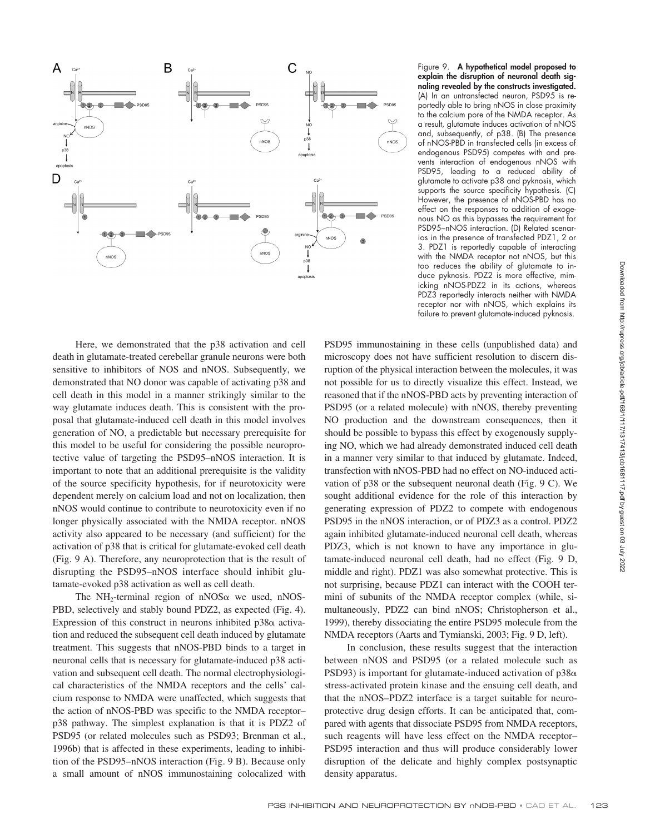

Here, we demonstrated that the p38 activation and cell death in glutamate-treated cerebellar granule neurons were both sensitive to inhibitors of NOS and nNOS. Subsequently, we demonstrated that NO donor was capable of activating p38 and cell death in this model in a manner strikingly similar to the way glutamate induces death. This is consistent with the proposal that glutamate-induced cell death in this model involves generation of NO, a predictable but necessary prerequisite for this model to be useful for considering the possible neuroprotective value of targeting the PSD95–nNOS interaction. It is important to note that an additional prerequisite is the validity of the source specificity hypothesis, for if neurotoxicity were dependent merely on calcium load and not on localization, then nNOS would continue to contribute to neurotoxicity even if no longer physically associated with the NMDA receptor. nNOS activity also appeared to be necessary (and sufficient) for the activation of p38 that is critical for glutamate-evoked cell death (Fig. 9 A). Therefore, any neuroprotection that is the result of disrupting the PSD95–nNOS interface should inhibit glutamate-evoked p38 activation as well as cell death.

The NH<sub>2</sub>-terminal region of nNOS $\alpha$  we used, nNOS-PBD, selectively and stably bound PDZ2, as expected (Fig. 4). Expression of this construct in neurons inhibited  $p38\alpha$  activation and reduced the subsequent cell death induced by glutamate treatment. This suggests that nNOS-PBD binds to a target in neuronal cells that is necessary for glutamate-induced p38 activation and subsequent cell death. The normal electrophysiological characteristics of the NMDA receptors and the cells' calcium response to NMDA were unaffected, which suggests that the action of nNOS-PBD was specific to the NMDA receptor– p38 pathway. The simplest explanation is that it is PDZ2 of PSD95 (or related molecules such as PSD93; Brenman et al., 1996b) that is affected in these experiments, leading to inhibition of the PSD95–nNOS interaction (Fig. 9 B). Because only a small amount of nNOS immunostaining colocalized with

Figure 9. **A hypothetical model proposed to explain the disruption of neuronal death signaling revealed by the constructs investigated.** (A) In an untransfected neuron, PSD95 is reportedly able to bring nNOS in close proximity to the calcium pore of the NMDA receptor. As a result, glutamate induces activation of nNOS and, subsequently, of p38. (B) The presence of nNOS-PBD in transfected cells (in excess of endogenous PSD95) competes with and prevents interaction of endogenous nNOS with PSD95, leading to a reduced ability of glutamate to activate p38 and pyknosis, which supports the source specificity hypothesis. (C) However, the presence of nNOS-PBD has no effect on the responses to addition of exogenous NO as this bypasses the requirement for PSD95–nNOS interaction. (D) Related scenarios in the presence of transfected PDZ1, 2 or 3. PDZ1 is reportedly capable of interacting with the NMDA receptor not nNOS, but this too reduces the ability of glutamate to induce pyknosis. PDZ2 is more effective, mimicking nNOS-PDZ2 in its actions, whereas PDZ3 reportedly interacts neither with NMDA receptor nor with nNOS, which explains its failure to prevent glutamate-induced pyknosis.

PSD95 immunostaining in these cells (unpublished data) and microscopy does not have sufficient resolution to discern disruption of the physical interaction between the molecules, it was not possible for us to directly visualize this effect. Instead, we reasoned that if the nNOS-PBD acts by preventing interaction of PSD95 (or a related molecule) with nNOS, thereby preventing NO production and the downstream consequences, then it should be possible to bypass this effect by exogenously supplying NO, which we had already demonstrated induced cell death in a manner very similar to that induced by glutamate. Indeed, transfection with nNOS-PBD had no effect on NO-induced activation of p38 or the subsequent neuronal death (Fig. 9 C). We sought additional evidence for the role of this interaction by generating expression of PDZ2 to compete with endogenous PSD95 in the nNOS interaction, or of PDZ3 as a control. PDZ2 again inhibited glutamate-induced neuronal cell death, whereas PDZ3, which is not known to have any importance in glutamate-induced neuronal cell death, had no effect (Fig. 9 D, middle and right). PDZ1 was also somewhat protective. This is not surprising, because PDZ1 can interact with the COOH termini of subunits of the NMDA receptor complex (while, simultaneously, PDZ2 can bind nNOS; Christopherson et al., 1999), thereby dissociating the entire PSD95 molecule from the NMDA receptors (Aarts and Tymianski, 2003; Fig. 9 D, left).

In conclusion, these results suggest that the interaction between nNOS and PSD95 (or a related molecule such as PSD93) is important for glutamate-induced activation of  $p38\alpha$ stress-activated protein kinase and the ensuing cell death, and that the nNOS–PDZ2 interface is a target suitable for neuroprotective drug design efforts. It can be anticipated that, compared with agents that dissociate PSD95 from NMDA receptors, such reagents will have less effect on the NMDA receptor– PSD95 interaction and thus will produce considerably lower disruption of the delicate and highly complex postsynaptic density apparatus.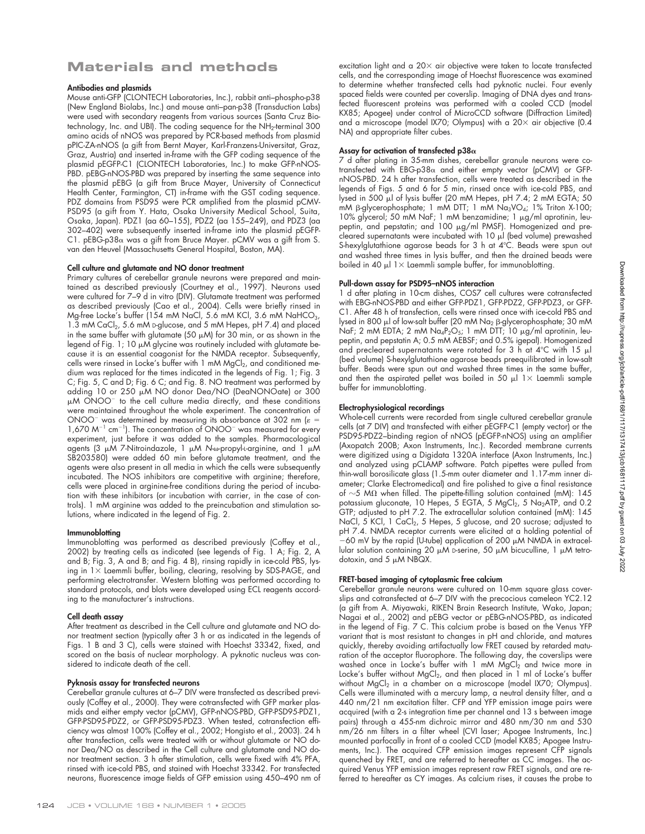# **Materials and methods**

## **Antibodies and plasmids**

Mouse anti-GFP (CLONTECH Laboratories, Inc.), rabbit anti–phospho-p38 (New England Biolabs, Inc.) and mouse anti–pan-p38 (Transduction Labs) were used with secondary reagents from various sources (Santa Cruz Biotechnology, Inc. and UBI). The coding sequence for the NH2-terminal 300 amino acids of nNOS was prepared by PCR-based methods from plasmid pPIC-ZA-nNOS (a gift from Bernt Mayer, Karl-Franzens-Universitat, Graz, Graz, Austria) and inserted in-frame with the GFP coding sequence of the plasmid pEGFP-C1 (CLONTECH Laboratories, Inc.) to make GFP-nNOS-PBD. pEBG-nNOS-PBD was prepared by inserting the same sequence into the plasmid pEBG (a gift from Bruce Mayer, University of Connecticut Health Center, Farmington, CT) in-frame with the GST coding sequence. PDZ domains from PSD95 were PCR amplified from the plasmid pCMV-PSD95 (a gift from Y. Hata, Osaka University Medical School, Suita, Osaka, Japan). PDZ1 (aa 60–155), PDZ2 (aa 155–249), and PDZ3 (aa 302–402) were subsequently inserted in-frame into the plasmid pEGFP- $C1.$  pEBG-p38 $\alpha$  was a gift from Bruce Mayer. pCMV was a gift from S. van den Heuvel (Massachusetts General Hospital, Boston, MA).

## **Cell culture and glutamate and NO donor treatment**

Primary cultures of cerebellar granule neurons were prepared and maintained as described previously (Courtney et al., 1997). Neurons used were cultured for 7–9 d in vitro (DIV). Glutamate treatment was performed as described previously (Cao et al., 2004). Cells were briefly rinsed in Mg-free Locke's buffer (154 mM NaCl, 5.6 mM KCl, 3.6 mM NaHCO<sub>3</sub>, 1.3 mM CaCl<sub>2</sub>, 5.6 mM D-glucose, and 5 mM Hepes, pH 7.4) and placed in the same buffer with glutamate (50  $\mu$ M) for 30 min, or as shown in the legend of Fig. 1; 10  $\mu$ M glycine was routinely included with glutamate because it is an essential coagonist for the NMDA receptor. Subsequently, cells were rinsed in Locke's buffer with 1 mM MgCl<sub>2</sub>, and conditioned medium was replaced for the times indicated in the legends of Fig. 1; Fig. 3 C; Fig. 5, C and D; Fig. 6 C; and Fig. 8. NO treatment was performed by adding 10 or 250 µM NO donor Dea/NO (DeaNONOate) or 300 µM ONOO<sup>-</sup> to the cell culture media directly, and these conditions were maintained throughout the whole experiment. The concentration of ONOO<sup>-</sup> was determined by measuring its absorbance at 302 nm ( $\varepsilon$  = 1,670 M<sup>-1</sup> cm<sup>-1</sup>). The concentration of ONOO<sup>-</sup> was measured for every experiment, just before it was added to the samples. Pharmacological agents (3  $\mu$ M 7-Nitroindazole, 1  $\mu$ M *N-* $\omega$ -propyl-L-arginine, and 1  $\mu$ M SB203580) were added 60 min before glutamate treatment, and the agents were also present in all media in which the cells were subsequently incubated. The NOS inhibitors are competitive with arginine; therefore, cells were placed in arginine-free conditions during the period of incubation with these inhibitors (or incubation with carrier, in the case of controls). 1 mM arginine was added to the preincubation and stimulation solutions, where indicated in the legend of Fig. 2.

#### **Immunoblotting**

Immunoblotting was performed as described previously (Coffey et al., 2002) by treating cells as indicated (see legends of Fig. 1 A; Fig. 2, A and B; Fig. 3, A and B; and Fig. 4 B), rinsing rapidly in ice-cold PBS, lysing in  $1\times$  Laemmli buffer, boiling, clearing, resolving by SDS-PAGE, and performing electrotransfer. Western blotting was performed according to standard protocols, and blots were developed using ECL reagents according to the manufacturer's instructions.

#### **Cell death assay**

After treatment as described in the Cell culture and glutamate and NO donor treatment section (typically after 3 h or as indicated in the legends of Figs. 1 B and 3 C), cells were stained with Hoechst 33342, fixed, and scored on the basis of nuclear morphology. A pyknotic nucleus was considered to indicate death of the cell.

#### **Pyknosis assay for transfected neurons**

Cerebellar granule cultures at 6–7 DIV were transfected as described previously (Coffey et al., 2000). They were cotransfected with GFP marker plasmids and either empty vector (pCMV), GFP-nNOS-PBD, GFP-PSD95-PDZ1, GFP-PSD95-PDZ2, or GFP-PSD95-PDZ3. When tested, cotransfection efficiency was almost 100% (Coffey et al., 2002; Hongisto et al., 2003). 24 h after transfection, cells were treated with or without glutamate or NO donor Dea/NO as described in the Cell culture and glutamate and NO donor treatment section. 3 h after stimulation, cells were fixed with 4% PFA, rinsed with ice-cold PBS, and stained with Hoechst 33342. For transfected neurons, fluorescence image fields of GFP emission using 450–490 nm of

#### **Assay for activation of transfected p38**

7 d after plating in 35-mm dishes, cerebellar granule neurons were cotransfected with  $EBG-p38\alpha$  and either empty vector (pCMV) or GFPnNOS-PBD. 24 h after transfection, cells were treated as described in the legends of Figs. 5 and 6 for 5 min, rinsed once with ice-cold PBS, and lysed in 500 µl of lysis buffer (20 mM Hepes, pH 7.4; 2 mM EGTA; 50 mM  $\beta$ -glycerophosphate; 1 mM DTT; 1 mM  $Na_3VO_4$ ; 1% Triton X-100; 10% glycerol; 50 mM NaF; 1 mM benzamidine; 1 µg/ml aprotinin, leupeptin, and pepstatin; and 100  $\mu$ g/ml PMSF). Homogenized and precleared supernatants were incubated with 10 ul (bed volume) prewashed S-hexylglutathione agarose beads for 3 h at 4°C. Beads were spun out and washed three times in lysis buffer, and then the drained beads were boiled in 40  $\mu$ l 1 $\times$  Laemmli sample buffer, for immunoblotting.

## **Pull-down assay for PSD95–nNOS interaction**

1 d after plating in 10-cm dishes, COS7 cell cultures were cotransfected with EBG-nNOS-PBD and either GFP-PDZ1, GFP-PDZ2, GFP-PDZ3, or GFP-C1. After 48 h of transfection, cells were rinsed once with ice-cold PBS and lysed in 800  $\mu$ l of low-salt buffer (20 mM Na $_2$  ß-glycerophosphate; 30 mM NaF; 2 mM EDTA; 2 mM  $Na_4P_2O_5$ ; 1 mM DTT; 10  $\mu$ g/ml aprotinin, leupeptin, and pepstatin A; 0.5 mM AEBSF; and 0.5% igepal). Homogenized and precleared supernatants were rotated for 3 h at  $4^{\circ}$ C with 15  $\mu$ l (bed volume) S-hexylglutathione agarose beads preequilibrated in low-salt buffer. Beads were spun out and washed three times in the same buffer, and then the aspirated pellet was boiled in 50  $\mu$ l 1 × Laemmli sample buffer for immunoblotting.

#### **Electrophysiological recordings**

Whole-cell currents were recorded from single cultured cerebellar granule cells (at 7 DIV) and transfected with either pEGFP-C1 (empty vector) or the PSD95-PDZ2–binding region of nNOS (pEGFP-nNOS) using an amplifier (Axopatch 200B; Axon Instruments, Inc.). Recorded membrane currents were digitized using a Digidata 1320A interface (Axon Instruments, Inc.) and analyzed using pCLAMP software. Patch pipettes were pulled from thin-wall borosilicate glass (1.5-mm outer diameter and 1.17-mm inner diameter; Clarke Electromedical) and fire polished to give a final resistance of  $\sim$  5 M $\Omega$  when filled. The pipette-filling solution contained (mM): 145 potassium gluconate, 10 Hepes, 5 EGTA, 5 MgCl<sub>2</sub>, 5 Na<sub>2</sub>ATP, and 0.2 GTP; adjusted to pH 7.2. The extracellular solution contained (mM): 145 NaCl, 5 KCl, 1 CaCl<sub>2</sub>, 5 Hepes, 5 glucose, and 20 sucrose; adjusted to pH 7.4. NMDA receptor currents were elicited at a holding potential of  $-60$  mV by the rapid (U-tube) application of 200  $\mu$ M NMDA in extracellular solution containing 20  $\mu$ M D-serine, 50  $\mu$ M bicuculline, 1  $\mu$ M tetrodotoxin, and  $5 \mu M$  NBQX.

## **FRET-based imaging of cytoplasmic free calcium**

Cerebellar granule neurons were cultured on 10-mm square glass coverslips and cotransfected at 6–7 DIV with the precocious cameleon YC2.12 (a gift from A. Miyawaki, RIKEN Brain Research Institute, Wako, Japan; Nagai et al., 2002) and pEBG vector or pEBG-nNOS-PBD, as indicated in the legend of Fig. 7 C. This calcium probe is based on the Venus YFP variant that is most resistant to changes in pH and chloride, and matures quickly, thereby avoiding artifactually low FRET caused by retarded maturation of the acceptor fluorophore. The following day, the coverslips were washed once in Locke's buffer with 1 mM  $\text{MgCl}_2$  and twice more in Locke's buffer without  $MgCl<sub>2</sub>$ , and then placed in 1 ml of Locke's buffer without MgCl<sub>2</sub> in a chamber on a microscope (model IX70; Olympus). Cells were illuminated with a mercury lamp, a neutral density filter, and a 440 nm/21 nm excitation filter. CFP and YFP emission image pairs were acquired (with a 2-s integration time per channel and 13 s between image pairs) through a 455-nm dichroic mirror and 480 nm/30 nm and 530 nm/26 nm filters in a filter wheel (CVI laser; Apogee Instruments, Inc.) mounted parfocally in front of a cooled CCD (model KX85; Apogee Instruments, Inc.). The acquired CFP emission images represent CFP signals quenched by FRET, and are referred to hereafter as CC images. The acquired Venus YFP emission images represent raw FRET signals, and are referred to hereafter as CY images. As calcium rises, it causes the probe to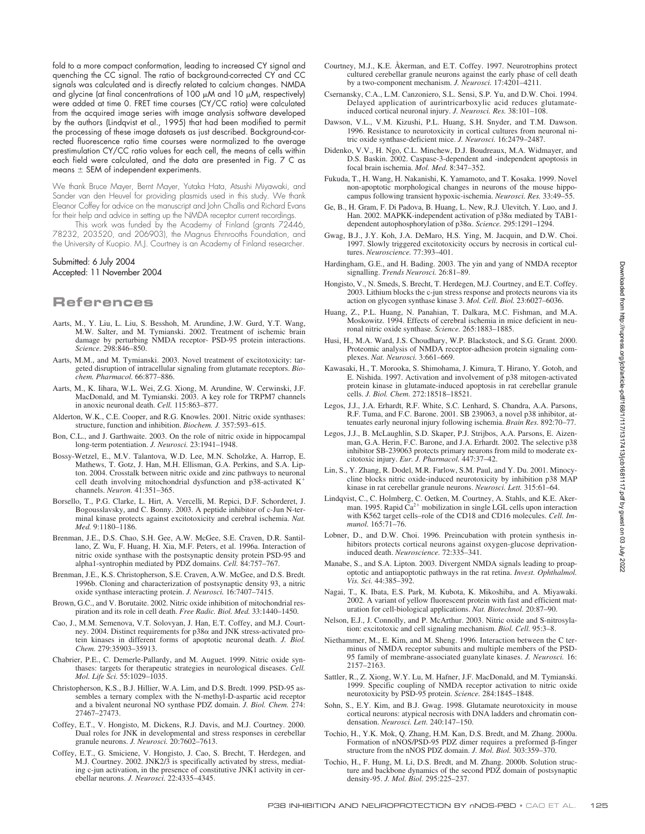fold to a more compact conformation, leading to increased CY signal and quenching the CC signal. The ratio of background-corrected CY and CC signals was calculated and is directly related to calcium changes. NMDA and glycine (at final concentrations of  $100 \mu$ M and  $10 \mu$ M, respectively) were added at time 0. FRET time courses (CY/CC ratio) were calculated from the acquired image series with image analysis software developed by the authors (Lindqvist et al., 1995) that had been modified to permit the processing of these image datasets as just described. Background-corrected fluorescence ratio time courses were normalized to the average prestimulation CY/CC ratio values for each cell, the means of cells within each field were calculated, and the data are presented in Fig. 7 C as means  $\pm$  SEM of independent experiments.

We thank Bruce Mayer, Bernt Mayer, Yutaka Hata, Atsushi Miyawaki, and Sander van den Heuvel for providing plasmids used in this study. We thank Eleanor Coffey for advice on the manuscript and John Challis and Richard Evans for their help and advice in setting up the NMDA receptor current recordings.

This work was funded by the Academy of Finland (grants 72446, 78232, 203520, and 206903), the Magnus Ehrnrooths Foundation, and the University of Kuopio. M.J. Courtney is an Academy of Finland researcher.

#### Submitted: 6 July 2004 Accepted: 11 November 2004

# **References**

- Aarts, M., Y. Liu, L. Liu, S. Besshoh, M. Arundine, J.W. Gurd, Y.T. Wang, M.W. Salter, and M. Tymianski. 2002. Treatment of ischemic brain damage by perturbing NMDA receptor- PSD-95 protein interactions. *Science.* 298:846–850.
- Aarts, M.M., and M. Tymianski. 2003. Novel treatment of excitotoxicity: targeted disruption of intracellular signaling from glutamate receptors. *Biochem. Pharmacol.* 66:877–886.
- Aarts, M., K. Iihara, W.L. Wei, Z.G. Xiong, M. Arundine, W. Cerwinski, J.F. MacDonald, and M. Tymianski. 2003. A key role for TRPM7 channels in anoxic neuronal death. *Cell.* 115:863–877.
- Alderton, W.K., C.E. Cooper, and R.G. Knowles. 2001. Nitric oxide synthases: structure, function and inhibition. *Biochem. J.* 357:593–615.
- Bon, C.L., and J. Garthwaite. 2003. On the role of nitric oxide in hippocampal long-term potentiation. *J. Neurosci.* 23:1941–1948.
- Bossy-Wetzel, E., M.V. Talantova, W.D. Lee, M.N. Scholzke, A. Harrop, E. Mathews, T. Gotz, J. Han, M.H. Ellisman, G.A. Perkins, and S.A. Lipton. 2004. Crosstalk between nitric oxide and zinc pathways to neuronal cell death involving mitochondrial dysfunction and p38-activated K channels. *Neuron.* 41:351–365.
- Borsello, T., P.G. Clarke, L. Hirt, A. Vercelli, M. Repici, D.F. Schorderet, J. Bogousslavsky, and C. Bonny. 2003. A peptide inhibitor of c-Jun N-terminal kinase protects against excitotoxicity and cerebral ischemia. *Nat. Med.* 9:1180–1186.
- Brenman, J.E., D.S. Chao, S.H. Gee, A.W. McGee, S.E. Craven, D.R. Santillano, Z. Wu, F. Huang, H. Xia, M.F. Peters, et al. 1996a. Interaction of nitric oxide synthase with the postsynaptic density protein PSD-95 and alpha1-syntrophin mediated by PDZ domains. *Cell.* 84:757–767.
- Brenman, J.E., K.S. Christopherson, S.E. Craven, A.W. McGee, and D.S. Bredt. 1996b. Cloning and characterization of postsynaptic density 93, a nitric oxide synthase interacting protein. *J. Neurosci.* 16:7407–7415.
- Brown, G.C., and V. Borutaite. 2002. Nitric oxide inhibition of mitochondrial respiration and its role in cell death. *Free Radic. Biol. Med.* 33:1440–1450.
- Cao, J., M.M. Semenova, V.T. Solovyan, J. Han, E.T. Coffey, and M.J. Courtney. 2004. Distinct requirements for  $p38\alpha$  and JNK stress-activated protein kinases in different forms of apoptotic neuronal death. *J. Biol. Chem.* 279:35903–35913.
- Chabrier, P.E., C. Demerle-Pallardy, and M. Auguet. 1999. Nitric oxide synthases: targets for therapeutic strategies in neurological diseases. *Cell. Mol. Life Sci.* 55:1029–1035.
- Christopherson, K.S., B.J. Hillier, W.A. Lim, and D.S. Bredt. 1999. PSD-95 assembles a ternary complex with the N-methyl-D-aspartic acid receptor and a bivalent neuronal NO synthase PDZ domain. *J. Biol. Chem.* 274: 27467–27473.
- Coffey, E.T., V. Hongisto, M. Dickens, R.J. Davis, and M.J. Courtney. 2000. Dual roles for JNK in developmental and stress responses in cerebellar granule neurons. *J. Neurosci.* 20:7602–7613.
- Coffey, E.T., G. Smiciene, V. Hongisto, J. Cao, S. Brecht, T. Herdegen, and M.J. Courtney. 2002. JNK2/3 is specifically activated by stress, mediating c-jun activation, in the presence of constitutive JNK1 activity in cerebellar neurons. *J. Neurosci.* 22:4335–4345.
- Courtney, M.J., K.E. Åkerman, and E.T. Coffey. 1997. Neurotrophins protect cultured cerebellar granule neurons against the early phase of cell death by a two-component mechanism. *J. Neurosci.* 17:4201–4211.
- Csernansky, C.A., L.M. Canzoniero, S.L. Sensi, S.P. Yu, and D.W. Choi. 1994. Delayed application of aurintricarboxylic acid reduces glutamateinduced cortical neuronal injury. *J. Neurosci. Res.* 38:101–108.
- Dawson, V.L., V.M. Kizushi, P.L. Huang, S.H. Snyder, and T.M. Dawson. 1996. Resistance to neurotoxicity in cortical cultures from neuronal nitric oxide synthase-deficient mice. *J. Neurosci.* 16:2479–2487.
- Didenko, V.V., H. Ngo, C.L. Minchew, D.J. Boudreaux, M.A. Widmayer, and D.S. Baskin. 2002. Caspase-3-dependent and -independent apoptosis in focal brain ischemia. *Mol. Med.* 8:347–352.
- Fukuda, T., H. Wang, H. Nakanishi, K. Yamamoto, and T. Kosaka. 1999. Novel non-apoptotic morphological changes in neurons of the mouse hippocampus following transient hypoxic-ischemia. *Neurosci. Res.* 33:49–55.
- Ge, B., H. Gram, F. Di Padova, B. Huang, L. New, R.J. Ulevitch, Y. Luo, and J. Han. 2002. MAPKK-independent activation of p38 $\alpha$  mediated by TAB1dependent autophosphorylation of p38α. *Science*. 295:1291-1294.
- Gwag, B.J., J.Y. Koh, J.A. DeMaro, H.S. Ying, M. Jacquin, and D.W. Choi. 1997. Slowly triggered excitotoxicity occurs by necrosis in cortical cultures. *Neuroscience.* 77:393–401.
- Hardingham, G.E., and H. Bading. 2003. The yin and yang of NMDA receptor signalling. *Trends Neurosci.* 26:81–89.
- Hongisto, V., N. Smeds, S. Brecht, T. Herdegen, M.J. Courtney, and E.T. Coffey. 2003. Lithium blocks the c-jun stress response and protects neurons via its action on glycogen synthase kinase 3. *Mol. Cell. Biol.* 23:6027–6036.
- Huang, Z., P.L. Huang, N. Panahian, T. Dalkara, M.C. Fishman, and M.A. Moskowitz. 1994. Effects of cerebral ischemia in mice deficient in neuronal nitric oxide synthase. *Science.* 265:1883–1885.
- Husi, H., M.A. Ward, J.S. Choudhary, W.P. Blackstock, and S.G. Grant. 2000. Proteomic analysis of NMDA receptor-adhesion protein signaling complexes. *Nat. Neurosci.* 3:661–669.
- Kawasaki, H., T. Morooka, S. Shimohama, J. Kimura, T. Hirano, Y. Gotoh, and E. Nishida. 1997. Activation and involvement of p38 mitogen-activated protein kinase in glutamate-induced apoptosis in rat cerebellar granule cells. *J. Biol. Chem.* 272:18518–18521.
- Legos, J.J., J.A. Erhardt, R.F. White, S.C. Lenhard, S. Chandra, A.A. Parsons, R.F. Tuma, and F.C. Barone. 2001. SB 239063, a novel p38 inhibitor, attenuates early neuronal injury following ischemia. *Brain Res.* 892:70–77.
- Legos, J.J., B. McLaughlin, S.D. Skaper, P.J. Strijbos, A.A. Parsons, E. Aizenman, G.A. Herin, F.C. Barone, and J.A. Erhardt. 2002. The selective p38 inhibitor SB-239063 protects primary neurons from mild to moderate excitotoxic injury. *Eur. J. Pharmacol.* 447:37–42.
- Lin, S., Y. Zhang, R. Dodel, M.R. Farlow, S.M. Paul, and Y. Du. 2001. Minocycline blocks nitric oxide-induced neurotoxicity by inhibition p38 MAP kinase in rat cerebellar granule neurons. *Neurosci. Lett.* 315:61–64.
- Lindqvist, C., C. Holmberg, C. Oetken, M. Courtney, A. Stahls, and K.E. Akerman. 1995. Rapid  $\text{Ca}^{2+}$  mobilization in single LGL cells upon interaction with K562 target cells–role of the CD18 and CD16 molecules. *Cell. Immunol.* 165:71–76.
- Lobner, D., and D.W. Choi. 1996. Preincubation with protein synthesis inhibitors protects cortical neurons against oxygen-glucose deprivationinduced death. *Neuroscience.* 72:335–341.
- Manabe, S., and S.A. Lipton. 2003. Divergent NMDA signals leading to proapoptotic and antiapoptotic pathways in the rat retina. *Invest. Ophthalmol. Vis. Sci.* 44:385–392.
- Nagai, T., K. Ibata, E.S. Park, M. Kubota, K. Mikoshiba, and A. Miyawaki. 2002. A variant of yellow fluorescent protein with fast and efficient maturation for cell-biological applications. *Nat. Biotechnol.* 20:87–90.
- Nelson, E.J., J. Connolly, and P. McArthur. 2003. Nitric oxide and S-nitrosylation: excitotoxic and cell signaling mechanism. *Biol. Cell.* 95:3–8.
- Niethammer, M., E. Kim, and M. Sheng. 1996. Interaction between the C terminus of NMDA receptor subunits and multiple members of the PSD-95 family of membrane-associated guanylate kinases. *J. Neurosci.* 16: 2157–2163.
- Sattler, R., Z. Xiong, W.Y. Lu, M. Hafner, J.F. MacDonald, and M. Tymianski. 1999. Specific coupling of NMDA receptor activation to nitric oxide neurotoxicity by PSD-95 protein. *Science.* 284:1845–1848.
- Sohn, S., E.Y. Kim, and B.J. Gwag. 1998. Glutamate neurotoxicity in mouse cortical neurons: atypical necrosis with DNA ladders and chromatin condensation. *Neurosci. Lett.* 240:147–150.
- Tochio, H., Y.K. Mok, Q. Zhang, H.M. Kan, D.S. Bredt, and M. Zhang. 2000a. Formation of  $nNOS/PSD-95$  PDZ dimer requires a preformed  $\beta$ -finger structure from the nNOS PDZ domain. *J. Mol. Biol.* 303:359–370.
- Tochio, H., F. Hung, M. Li, D.S. Bredt, and M. Zhang. 2000b. Solution structure and backbone dynamics of the second PDZ domain of postsynaptic density-95. *J. Mol. Biol.* 295:225–237.